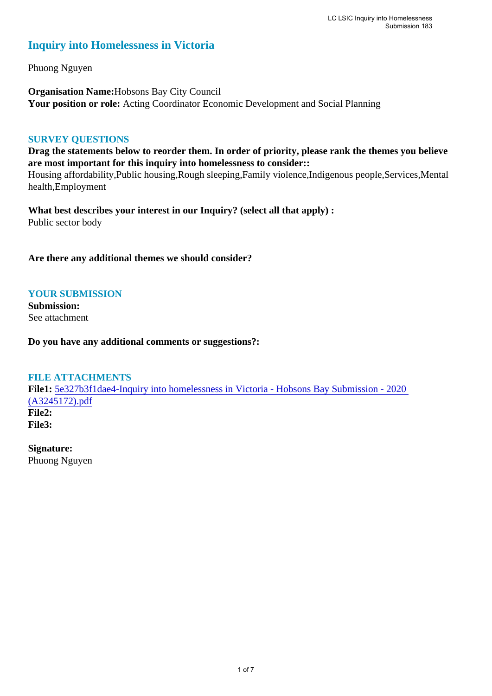# **Inquiry into Homelessness in Victoria**

Phuong Nguyen

**Organisation Name:**Hobsons Bay City Council **Your position or role:** Acting Coordinator Economic Development and Social Planning

#### **SURVEY QUESTIONS**

**Drag the statements below to reorder them. In order of priority, please rank the themes you believe are most important for this inquiry into homelessness to consider::** 

Housing affordability,Public housing,Rough sleeping,Family violence,Indigenous people,Services,Mental health,Employment

**What best describes your interest in our Inquiry? (select all that apply) :**  Public sector body

**Are there any additional themes we should consider?**

# **YOUR SUBMISSION**

**Submission:**  See attachment

**Do you have any additional comments or suggestions?:** 

# **FILE ATTACHMENTS**

**File1:** [5e327b3f1dae4-Inquiry into homelessness in Victoria - Hobsons Bay Submission - 2020](https://parliament.vic.gov.au/component/rsform/submission-view-file/a0b83f5e73ce4580ccc1c048c3fd1970/e62a42839ee53004e9872b275794d298?Itemid=463)  [\(A3245172\).pdf](https://parliament.vic.gov.au/component/rsform/submission-view-file/a0b83f5e73ce4580ccc1c048c3fd1970/e62a42839ee53004e9872b275794d298?Itemid=463) **File2: File3:** 

**Signature:**

Phuong Nguyen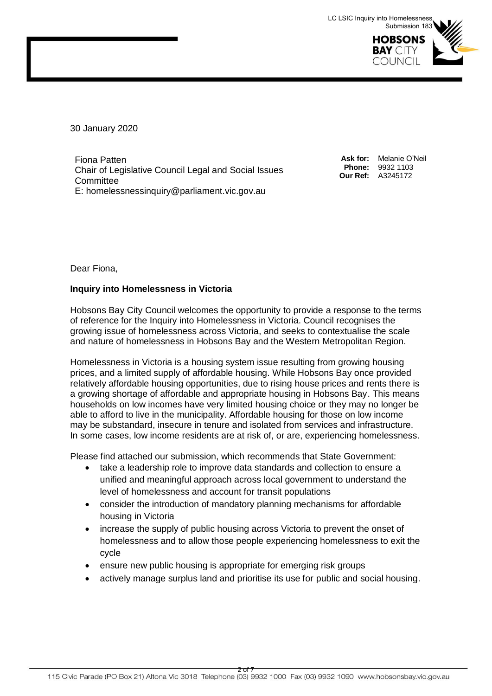

30 January 2020

Fiona Patten Chair of Legislative Council Legal and Social Issues **Committee** E: homelessnessinquiry@parliament.vic.gov.au

**Ask for:** Melanie O'Neil **Phone:** 9932 1103 **Our Ref:** A3245172

Dear Fiona,

#### **Inquiry into Homelessness in Victoria**

Hobsons Bay City Council welcomes the opportunity to provide a response to the terms of reference for the Inquiry into Homelessness in Victoria. Council recognises the growing issue of homelessness across Victoria, and seeks to contextualise the scale and nature of homelessness in Hobsons Bay and the Western Metropolitan Region.

Homelessness in Victoria is a housing system issue resulting from growing housing prices, and a limited supply of affordable housing. While Hobsons Bay once provided relatively affordable housing opportunities, due to rising house prices and rents there is a growing shortage of affordable and appropriate housing in Hobsons Bay. This means households on low incomes have very limited housing choice or they may no longer be able to afford to live in the municipality. Affordable housing for those on low income may be substandard, insecure in tenure and isolated from services and infrastructure. In some cases, low income residents are at risk of, or are, experiencing homelessness.

Please find attached our submission, which recommends that State Government:

- take a leadership role to improve data standards and collection to ensure a unified and meaningful approach across local government to understand the level of homelessness and account for transit populations
- consider the introduction of mandatory planning mechanisms for affordable housing in Victoria
- increase the supply of public housing across Victoria to prevent the onset of homelessness and to allow those people experiencing homelessness to exit the cycle
- ensure new public housing is appropriate for emerging risk groups
- actively manage surplus land and prioritise its use for public and social housing.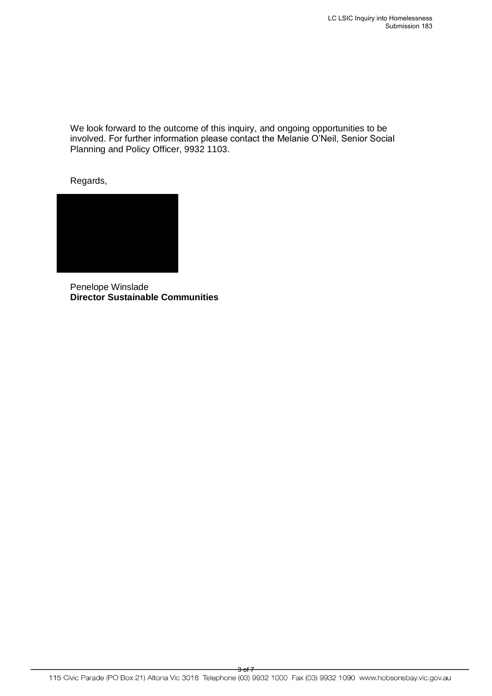We look forward to the outcome of this inquiry, and ongoing opportunities to be involved. For further information please contact the Melanie O'Neil, Senior Social Planning and Policy Officer, 9932 1103.

Regards,



Penelope Winslade **Director Sustainable Communities**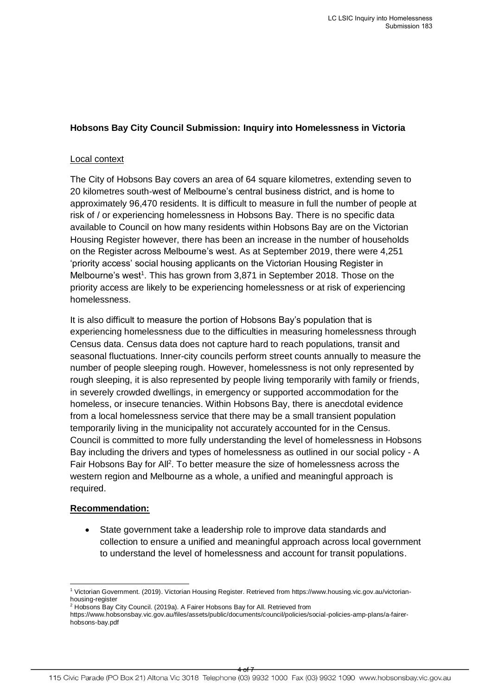# **Hobsons Bay City Council Submission: Inquiry into Homelessness in Victoria**

#### Local context

The City of Hobsons Bay covers an area of 64 square kilometres, extending seven to 20 kilometres south-west of Melbourne's central business district, and is home to approximately 96,470 residents. It is difficult to measure in full the number of people at risk of / or experiencing homelessness in Hobsons Bay. There is no specific data available to Council on how many residents within Hobsons Bay are on the Victorian Housing Register however, there has been an increase in the number of households on the Register across Melbourne's west. As at September 2019, there were 4,251 'priority access' social housing applicants on the Victorian Housing Register in Melbourne's west<sup>1</sup>. This has grown from 3,871 in September 2018. Those on the priority access are likely to be experiencing homelessness or at risk of experiencing homelessness.

It is also difficult to measure the portion of Hobsons Bay's population that is experiencing homelessness due to the difficulties in measuring homelessness through Census data. Census data does not capture hard to reach populations, transit and seasonal fluctuations. Inner-city councils perform street counts annually to measure the number of people sleeping rough. However, homelessness is not only represented by rough sleeping, it is also represented by people living temporarily with family or friends, in severely crowded dwellings, in emergency or supported accommodation for the homeless, or insecure tenancies. Within Hobsons Bay, there is anecdotal evidence from a local homelessness service that there may be a small transient population temporarily living in the municipality not accurately accounted for in the Census. Council is committed to more fully understanding the level of homelessness in Hobsons Bay including the drivers and types of homelessness as outlined in our social policy - A Fair Hobsons Bay for All<sup>2</sup>. To better measure the size of homelessness across the western region and Melbourne as a whole, a unified and meaningful approach is required.

#### **Recommendation:**

 State government take a leadership role to improve data standards and collection to ensure a unified and meaningful approach across local government to understand the level of homelessness and account for transit populations.

 $\overline{a}$ 1 Victorian Government. (2019). Victorian Housing Register. Retrieved from [https://www.housing.vic.gov.au/victorian](https://www.housing.vic.gov.au/victorian-housing-register)[housing-register](https://www.housing.vic.gov.au/victorian-housing-register)

<sup>&</sup>lt;sup>2</sup> Hobsons Bay City Council. (2019a). A Fairer Hobsons Bay for All. Retrieved from

[https://www.hobsonsbay.vic.gov.au/files/assets/public/documents/council/policies/social-policies-amp-plans/a-fairer](https://www.hobsonsbay.vic.gov.au/files/assets/public/documents/council/policies/social-policies-amp-plans/a-fairer-hobsons-bay.pdf)[hobsons-bay.pdf](https://www.hobsonsbay.vic.gov.au/files/assets/public/documents/council/policies/social-policies-amp-plans/a-fairer-hobsons-bay.pdf)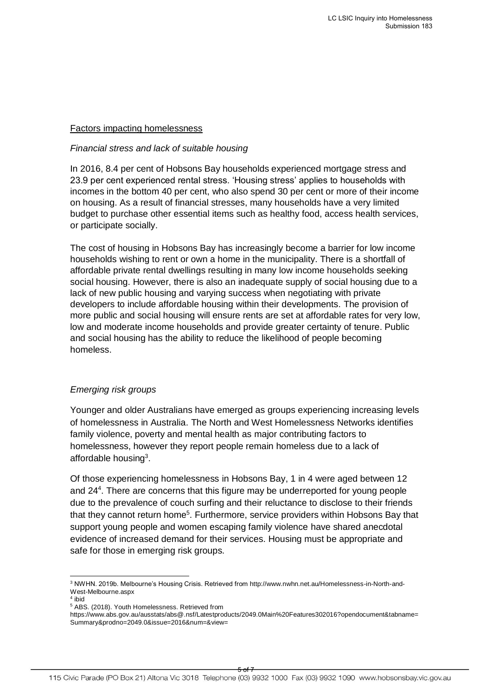#### Factors impacting homelessness

#### *Financial stress and lack of suitable housing*

In 2016, 8.4 per cent of Hobsons Bay households experienced mortgage stress and 23.9 per cent experienced rental stress. 'Housing stress' applies to households with incomes in the bottom 40 per cent, who also spend 30 per cent or more of their income on housing. As a result of financial stresses, many households have a very limited budget to purchase other essential items such as healthy food, access health services, or participate socially.

The cost of housing in Hobsons Bay has increasingly become a barrier for low income households wishing to rent or own a home in the municipality. There is a shortfall of affordable private rental dwellings resulting in many low income households seeking social housing. However, there is also an inadequate supply of social housing due to a lack of new public housing and varying success when negotiating with private developers to include affordable housing within their developments. The provision of more public and social housing will ensure rents are set at affordable rates for very low, low and moderate income households and provide greater certainty of tenure. Public and social housing has the ability to reduce the likelihood of people becoming homeless.

# *Emerging risk groups*

Younger and older Australians have emerged as groups experiencing increasing levels of homelessness in Australia. The North and West Homelessness Networks identifies family violence, poverty and mental health as major contributing factors to homelessness, however they report people remain homeless due to a lack of affordable housing<sup>3</sup>.

Of those experiencing homelessness in Hobsons Bay, 1 in 4 were aged between 12 and 24<sup>4</sup> . There are concerns that this figure may be underreported for young people due to the prevalence of couch surfing and their reluctance to disclose to their friends that they cannot return home<sup>5</sup>. Furthermore, service providers within Hobsons Bay that support young people and women escaping family violence have shared anecdotal evidence of increased demand for their services. Housing must be appropriate and safe for those in emerging risk groups.

 $\overline{a}$ 

<sup>3</sup> NWHN. 2019b. Melbourne's Housing Crisis. Retrieved from [http://www.nwhn.net.au/Homelessness-in-North-and-](http://www.nwhn.net.au/Homelessness-in-North-and-West-Melbourne.aspx)[West-Melbourne.aspx](http://www.nwhn.net.au/Homelessness-in-North-and-West-Melbourne.aspx)

<sup>4</sup> ibid

<sup>5</sup> ABS. (2018). Youth Homelessness. Retrieved from

https://www.abs.gov.au/ausstats/abs@.nsf/Latestproducts/2049.0Main%20Features302016?opendocument&tabname= Summary&prodno=2049.0&issue=2016&num=&view=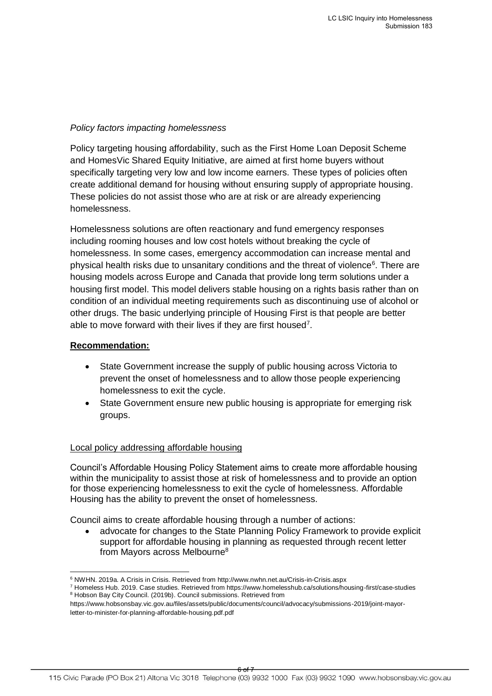#### *Policy factors impacting homelessness*

Policy targeting housing affordability, such as the First Home Loan Deposit Scheme and HomesVic Shared Equity Initiative, are aimed at first home buyers without specifically targeting very low and low income earners. These types of policies often create additional demand for housing without ensuring supply of appropriate housing. These policies do not assist those who are at risk or are already experiencing homelessness.

Homelessness solutions are often reactionary and fund emergency responses including rooming houses and low cost hotels without breaking the cycle of homelessness. In some cases, emergency accommodation can increase mental and physical health risks due to unsanitary conditions and the threat of violence<sup>6</sup>. There are housing models across Europe and Canada that provide long term solutions under a housing first model. This model delivers stable housing on a rights basis rather than on condition of an individual meeting requirements such as discontinuing use of alcohol or other drugs. The basic underlying principle of Housing First is that people are better able to move forward with their lives if they are first housed<sup>7</sup>.

#### **Recommendation:**

- State Government increase the supply of public housing across Victoria to prevent the onset of homelessness and to allow those people experiencing homelessness to exit the cycle.
- State Government ensure new public housing is appropriate for emerging risk groups.

# Local policy addressing affordable housing

Council's Affordable Housing Policy Statement aims to create more affordable housing within the municipality to assist those at risk of homelessness and to provide an option for those experiencing homelessness to exit the cycle of homelessness. Affordable Housing has the ability to prevent the onset of homelessness.

Council aims to create affordable housing through a number of actions:

 advocate for changes to the State Planning Policy Framework to provide explicit support for affordable housing in planning as requested through recent letter from Mayors across Melbourne<sup>8</sup>

 $\overline{a}$  $^6$  NWHN. 2019a. A Crisis in Crisis. Retrieved from<http://www.nwhn.net.au/Crisis-in-Crisis.aspx>

<sup>7</sup> Homeless Hub. 2019. Case studies. Retrieved from https://www.homelesshub.ca/solutions/housing-first/case-studies <sup>8</sup> Hobson Bay City Council. (2019b). Council submissions. Retrieved from

https://www.hobsonsbay.vic.gov.au/files/assets/public/documents/council/advocacy/submissions-2019/joint-mayorletter-to-minister-for-planning-affordable-housing.pdf.pdf